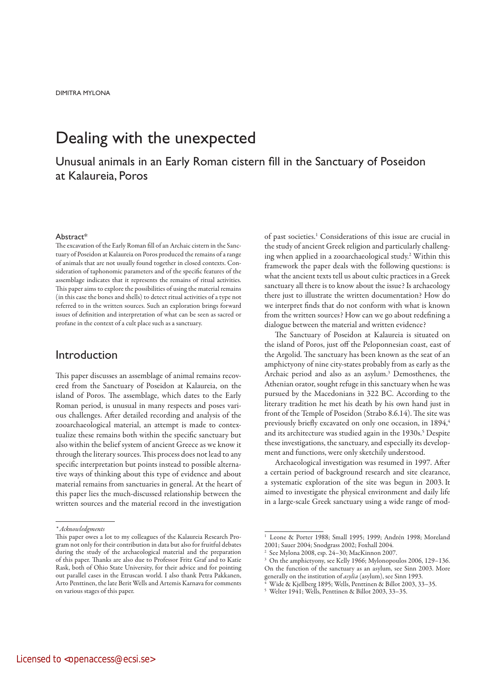# Dealing with the unexpected

Unusual animals in an Early Roman cistern fill in the Sanctuary of Poseidon at Kalaureia, Poros

#### Abstract\*

The excavation of the Early Roman fill of an Archaic cistern in the Sanctuary of Poseidon at Kalaureia on Poros produced the remains of a range of animals that are not usually found together in closed contexts. Consideration of taphonomic parameters and of the specific features of the assemblage indicates that it represents the remains of ritual activities. This paper aims to explore the possibilities of using the material remains (in this case the bones and shells) to detect ritual activities of a type not referred to in the written sources. Such an exploration brings forward issues of definition and interpretation of what can be seen as sacred or profane in the context of a cult place such as a sanctuary.

## Introduction

This paper discusses an assemblage of animal remains recovered from the Sanctuary of Poseidon at Kalaureia, on the island of Poros. The assemblage, which dates to the Early Roman period, is unusual in many respects and poses various challenges. After detailed recording and analysis of the zooarchaeological material, an attempt is made to contextualize these remains both within the specific sanctuary but also within the belief system of ancient Greece as we know it through the literary sources. This process does not lead to any specific interpretation but points instead to possible alternative ways of thinking about this type of evidence and about material remains from sanctuaries in general. At the heart of this paper lies the much-discussed relationship between the written sources and the material record in the investigation

\* Acknowledgments

of past societies.<sup>1</sup> Considerations of this issue are crucial in the study of ancient Greek religion and particularly challenging when applied in a zooarchaeological study.2 Within this framework the paper deals with the following questions: is what the ancient texts tell us about cultic practices in a Greek sanctuary all there is to know about the issue? Is archaeology there just to illustrate the written documentation? How do we interpret finds that do not conform with what is known from the written sources? How can we go about redefining a dialogue between the material and written evidence?

The Sanctuary of Poseidon at Kalaureia is situated on the island of Poros, just off the Peloponnesian coast, east of the Argolid. The sanctuary has been known as the seat of an amphictyony of nine city-states probably from as early as the Archaic period and also as an asylum.<sup>3</sup> Demosthenes, the Athenian orator, sought refuge in this sanctuary when he was pursued by the Macedonians in 322 BC. According to the literary tradition he met his death by his own hand just in front of the Temple of Poseidon (Strabo 8.6.14). The site was previously briefly excavated on only one occasion, in 1894,<sup>4</sup> and its architecture was studied again in the 1930s.<sup>5</sup> Despite these investigations, the sanctuary, and especially its development and functions, were only sketchily understood.

Archaeological investigation was resumed in 1997. After a certain period of background research and site clearance, a systematic exploration of the site was begun in 2003. It aimed to investigate the physical environment and daily life in a large-scale Greek sanctuary using a wide range of mod-

This paper owes a lot to my colleagues of the Kalaureia Research Program not only for their contribution in data but also for fruitful debates during the study of the archaeological material and the preparation of this paper. Thanks are also due to Professor Fritz Graf and to Katie Rask, both of Ohio State University, for their advice and for pointing out parallel cases in the Etruscan world. I also thank Petra Pakkanen, Arto Penttinen, the late Berit Wells and Artemis Karnava for comments on various stages of this paper.

<sup>1</sup> Leone & Porter 1988; Small 1995; 1999; Andrén 1998; Moreland 2001; Sauer 2004; Snodgrass 2002; Foxhall 2004.

<sup>2</sup> See Mylona 2008, esp. 24–30; MacKinnon 2007.

<sup>3</sup> On the amphictyony, see Kelly 1966; Mylonopoulos 2006, 129–136. On the function of the sanctuary as an asylum, see Sinn 2003. More generally on the institution of asylia (asylum), see Sinn 1993.

<sup>4</sup> Wide & Kjellberg 1895; Wells, Penttinen & Billot 2003, 33–35.

<sup>5</sup> Welter 1941; Wells, Penttinen & Billot 2003, 33–35.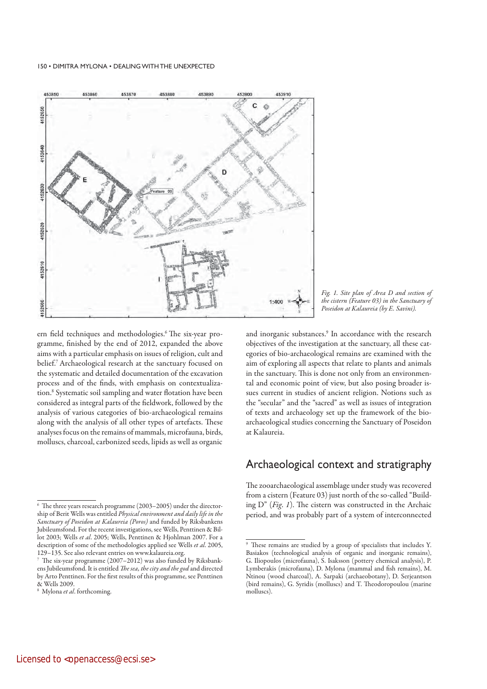

ern field techniques and methodologies.<sup>6</sup> The six-year programme, finished by the end of 2012, expanded the above aims with a particular emphasis on issues of religion, cult and belief.7 Archaeological research at the sanctuary focused on the systematic and detailed documentation of the excavation process and of the finds, with emphasis on contextualization.8 Systematic soil sampling and water flotation have been considered as integral parts of the fieldwork, followed by the analysis of various categories of bio-archaeological remains along with the analysis of all other types of artefacts. These analyses focus on the remains of mammals, microfauna, birds, molluscs, charcoal, carbonized seeds, lipids as well as organic

Fig. 1. Site plan of Area D and section of the cistern (Feature 03) in the Sanctuary of Poseidon at Kalaureia (by E. Savini).

and inorganic substances.<sup>9</sup> In accordance with the research objectives of the investigation at the sanctuary, all these categories of bio-archaeological remains are examined with the aim of exploring all aspects that relate to plants and animals in the sanctuary. This is done not only from an environmental and economic point of view, but also posing broader issues current in studies of ancient religion. Notions such as the "secular" and the "sacred" as well as issues of integration of texts and archaeology set up the framework of the bioarchaeological studies concerning the Sanctuary of Poseidon at Kalaureia.

## Archaeological context and stratigraphy

The zooarchaeological assemblage under study was recovered from a cistern (Feature 03) just north of the so-called "Building D" (Fig. 1). The cistern was constructed in the Archaic period, and was probably part of a system of interconnected

<sup>6</sup> The three years research programme (2003–2005) under the directorship of Berit Wells was entitled Physical environment and daily life in the Sanctuary of Poseidon at Kalaureia (Poros) and funded by Riksbankens Jubileumsfond. For the recent investigations, see Wells, Penttinen & Billot 2003; Wells et al. 2005; Wells, Penttinen & Hjohlman 2007. For a description of some of the methodologies applied see Wells et al. 2005, 129–135. See also relevant entries on www.kalaureia.org.

<sup>7</sup> The six-year programme (2007–2012) was also funded by Riksbankens Jubileumsfond. It is entitled The sea, the city and the god and directed by Arto Penttinen. For the first results of this programme, see Penttinen & Wells 2009.

<sup>&</sup>lt;sup>8</sup> Mylona et al. forthcoming.

<sup>9</sup> These remains are studied by a group of specialists that includes Y. Basiakos (technological analysis of organic and inorganic remains), G. Iliopoulos (microfauna), S. Isaksson (pottery chemical analysis), P. Lymberakis (microfauna), D. Mylona (mammal and fish remains), M. Ntinou (wood charcoal), A. Sarpaki (archaeobotany), D. Serjeantson (bird remains), G. Syridis (molluscs) and T. Theodoropoulou (marine molluscs).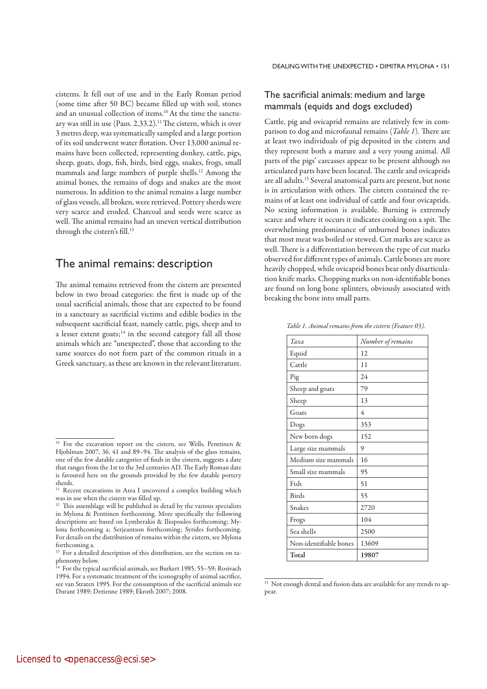cisterns. It fell out of use and in the Early Roman period (some time after 50 BC) became filled up with soil, stones and an unusual collection of items.10 At the time the sanctuary was still in use (Paus.  $2.33.2$ ).<sup>11</sup> The cistern, which is over 3 metres deep, was systematically sampled and a large portion of its soil underwent water flotation. Over 13,000 animal remains have been collected, representing donkey, cattle, pigs, sheep, goats, dogs, fish, birds, bird eggs, snakes, frogs, small mammals and large numbers of purple shells.<sup>12</sup> Among the animal bones, the remains of dogs and snakes are the most numerous. In addition to the animal remains a large number of glass vessels, all broken, were retrieved. Pottery sherds were very scarce and eroded. Charcoal and seeds were scarce as well. The animal remains had an uneven vertical distribution through the cistern's fill.<sup>13</sup>

## The animal remains: description

The animal remains retrieved from the cistern are presented below in two broad categories: the first is made up of the usual sacrificial animals, those that are expected to be found in a sanctuary as sacrificial victims and edible bodies in the subsequent sacrificial feast, namely cattle, pigs, sheep and to a lesser extent goats;<sup>14</sup> in the second category fall all those animals which are "unexpected", those that according to the same sources do not form part of the common rituals in a Greek sanctuary, as these are known in the relevant literature.

## The sacrificial animals: medium and large mammals (equids and dogs excluded)

Cattle, pig and ovicaprid remains are relatively few in comparison to dog and microfaunal remains (Table 1). There are at least two individuals of pig deposited in the cistern and they represent both a mature and a very young animal. All parts of the pigs' carcasses appear to be present although no articulated parts have been located. The cattle and ovicaprids are all adults.15 Several anatomical parts are present, but none is in articulation with others. The cistern contained the remains of at least one individual of cattle and four ovicaprids. No sexing information is available. Burning is extremely scarce and where it occurs it indicates cooking on a spit. The overwhelming predominance of unburned bones indicates that most meat was boiled or stewed. Cut marks are scarce as well. There is a differentiation between the type of cut marks observed for different types of animals. Cattle bones are more heavily chopped, while ovicaprid bones bear only disarticulation knife marks. Chopping marks on non-identifiable bones are found on long bone splinters, obviously associated with breaking the bone into small parts.

Table 1. Animal remains from the cistern (Feature 03).

| Taxa                   | Number of remains |
|------------------------|-------------------|
| Equid                  | 12                |
| Cattle                 | 11                |
| Pig                    | 24                |
| Sheep and goats        | 79                |
| Sheep                  | 13                |
| Goats                  | 4                 |
| Dogs                   | 353               |
| New born dogs          | 152               |
| Large size mammals     | 9                 |
| Medium size mammals    | 16                |
| Small size mammals     | 95                |
| Fish                   | 51                |
| <b>Birds</b>           | 55                |
| Snakes                 | 2720              |
| Frogs                  | 104               |
| Sea shells             | 2500              |
| Non-identifiable bones | 13609             |
| Total                  | 19807             |

<sup>&</sup>lt;sup>15</sup> Not enough dental and fusion data are available for any trends to appear.

<sup>&</sup>lt;sup>10</sup> For the excavation report on the cistern, see Wells, Penttinen & Hjohlman 2007, 36, 41 and 89–94. The analysis of the glass remains, one of the few datable categories of finds in the cistern, suggests a date that ranges from the 1st to the 3rd centuries AD. The Early Roman date is favoured here on the grounds provided by the few datable pottery sherds.

<sup>&</sup>lt;sup>11</sup> Recent excavations in Area I uncovered a complex building which was in use when the cistern was filled up.

<sup>&</sup>lt;sup>12</sup> This assemblage will be published in detail by the various specialists in Mylona & Penttinen forthcoming. More specifically the following descriptions are based on Lymberakis & Iliopoulos forthcoming; Mylona forthcoming a; Serjeantson forthcoming; Syrides forthcoming. For details on the distribution of remains within the cistern, see Mylona forthcoming a.

<sup>&</sup>lt;sup>13</sup> For a detailed description of this distribution, see the section on taphonomy below.

<sup>&</sup>lt;sup>14</sup> For the typical sacrificial animals, see Burkert 1985, 55–59; Rosivach 1994. For a systematic treatment of the iconography of animal sacrifice, see van Straten 1995. For the consumption of the sacrificial animals see Durant 1989; Detienne 1989; Ekroth 2007; 2008.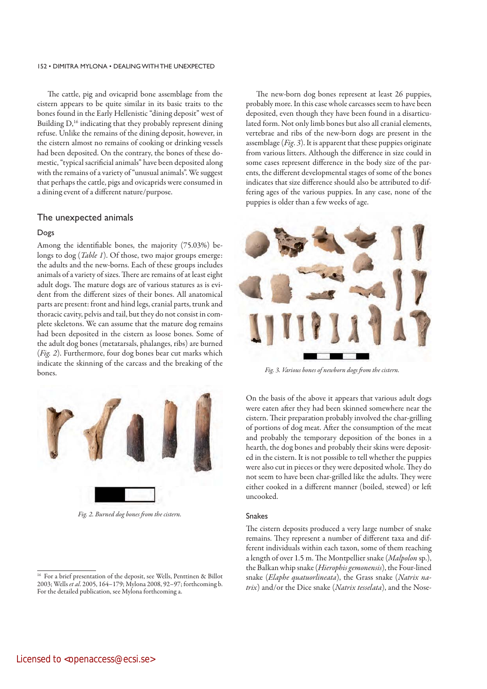The cattle, pig and ovicaprid bone assemblage from the cistern appears to be quite similar in its basic traits to the bones found in the Early Hellenistic "dining deposit" west of Building  $D<sub>16</sub>$  indicating that they probably represent dining refuse. Unlike the remains of the dining deposit, however, in the cistern almost no remains of cooking or drinking vessels had been deposited. On the contrary, the bones of these domestic, "typical sacrificial animals" have been deposited along with the remains of a variety of "unusual animals". We suggest that perhaps the cattle, pigs and ovicaprids were consumed in a dining event of a different nature/purpose.

### The unexpected animals

### Dogs

Among the identifiable bones, the majority (75.03%) belongs to dog (*Table 1*). Of those, two major groups emerge: the adults and the new-borns. Each of these groups includes animals of a variety of sizes. There are remains of at least eight adult dogs. The mature dogs are of various statures as is evident from the different sizes of their bones. All anatomical parts are present: front and hind legs, cranial parts, trunk and thoracic cavity, pelvis and tail, but they do not consist in complete skeletons. We can assume that the mature dog remains had been deposited in the cistern as loose bones. Some of the adult dog bones (metatarsals, phalanges, ribs) are burned (Fig. 2). Furthermore, four dog bones bear cut marks which indicate the skinning of the carcass and the breaking of the bones.



Fig. 2. Burned dog bones from the cistern.

The new-born dog bones represent at least 26 puppies, probably more. In this case whole carcasses seem to have been deposited, even though they have been found in a disarticulated form. Not only limb bones but also all cranial elements, vertebrae and ribs of the new-born dogs are present in the assemblage  $(Fig. 3)$ . It is apparent that these puppies originate from various litters. Although the difference in size could in some cases represent difference in the body size of the parents, the different developmental stages of some of the bones indicates that size difference should also be attributed to differing ages of the various puppies. In any case, none of the puppies is older than a few weeks of age.



Fig. 3. Various bones of newborn dogs from the cistern.

On the basis of the above it appears that various adult dogs were eaten after they had been skinned somewhere near the cistern. Their preparation probably involved the char-grilling of portions of dog meat. After the consumption of the meat and probably the temporary deposition of the bones in a hearth, the dog bones and probably their skins were deposited in the cistern. It is not possible to tell whether the puppies were also cut in pieces or they were deposited whole. They do not seem to have been char-grilled like the adults. They were either cooked in a different manner (boiled, stewed) or left uncooked.

### Snakes

The cistern deposits produced a very large number of snake remains. They represent a number of different taxa and different individuals within each taxon, some of them reaching a length of over 1.5 m. The Montpellier snake (Malpolon sp.), the Balkan whip snake (Hierophis gemonensis), the Four-lined snake (Elaphe quatuorlineata), the Grass snake (Natrix natrix) and/or the Dice snake (Natrix tesselata), and the Nose-

<sup>&</sup>lt;sup>16</sup> For a brief presentation of the deposit, see Wells, Penttinen & Billot 2003; Wells et al. 2005, 164–179; Mylona 2008, 92–97; forthcoming b. For the detailed publication, see Mylona forthcoming a.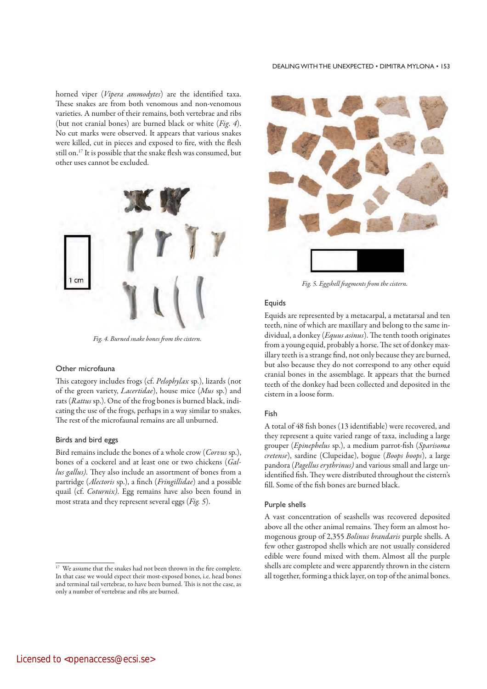#### DEALING WITH THE UNEXPECTED • DIMITRA MYLONA • 153

horned viper (Vipera ammodytes) are the identified taxa. These snakes are from both venomous and non-venomous varieties. A number of their remains, both vertebrae and ribs (but not cranial bones) are burned black or white  $(Fip, 4)$ . No cut marks were observed. It appears that various snakes were killed, cut in pieces and exposed to fire, with the flesh still on.17 It is possible that the snake flesh was consumed, but other uses cannot be excluded.



Fig. 4. Burned snake bones from the cistern.

### Other microfauna

This category includes frogs (cf. Pelophylax sp.), lizards (not of the green variety, Lacertidae), house mice (Mus sp.) and rats (Rattus sp.). One of the frog bones is burned black, indicating the use of the frogs, perhaps in a way similar to snakes. The rest of the microfaunal remains are all unburned.

### Birds and bird eggs

Bird remains include the bones of a whole crow (Corvus sp.), bones of a cockerel and at least one or two chickens (Gallus gallus). They also include an assortment of bones from a partridge (Alectoris sp.), a finch (Fringillidae) and a possible quail (cf. Coturnix). Egg remains have also been found in most strata and they represent several eggs (Fig. 5).



Fig. 5. Eggshell fragments from the cistern.

## **Equids**

Equids are represented by a metacarpal, a metatarsal and ten teeth, nine of which are maxillary and belong to the same individual, a donkey (Equus asinus). The tenth tooth originates from a young equid, probably a horse. The set of donkey maxillary teeth is a strange find, not only because they are burned, but also because they do not correspond to any other equid cranial bones in the assemblage. It appears that the burned teeth of the donkey had been collected and deposited in the cistern in a loose form.

#### Fish

A total of 48 fish bones (13 identifiable) were recovered, and they represent a quite varied range of taxa, including a large grouper (Epinephelus sp.), a medium parrot-fish (Sparisoma cretense), sardine (Clupeidae), bogue (Boops boops), a large pandora (Pagellus erythrinus) and various small and large unidentified fish. They were distributed throughout the cistern's fill. Some of the fish bones are burned black.

#### Purple shells

A vast concentration of seashells was recovered deposited above all the other animal remains. They form an almost homogenous group of 2,355 Bolinus brandaris purple shells. A few other gastropod shells which are not usually considered edible were found mixed with them. Almost all the purple shells are complete and were apparently thrown in the cistern all together, forming a thick layer, on top of the animal bones.

<sup>&</sup>lt;sup>17</sup> We assume that the snakes had not been thrown in the fire complete. In that case we would expect their most-exposed bones, i.e. head bones and terminal tail vertebrae, to have been burned. This is not the case, as only a number of vertebrae and ribs are burned.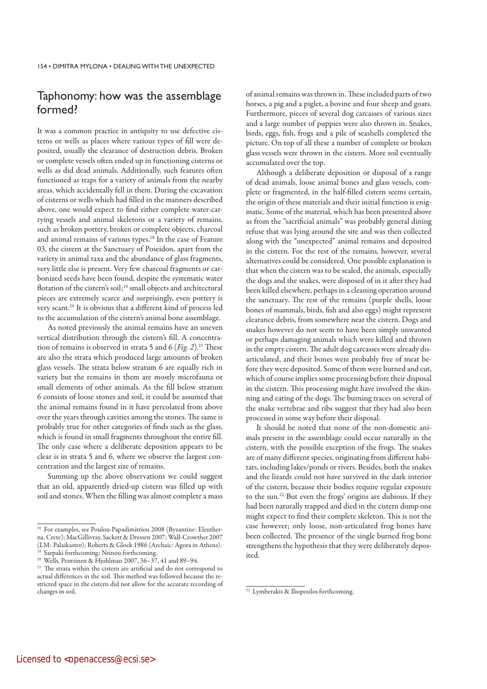## Taphonomy: how was the assemblage formed?

It was a common practice in antiquity to use defective cisterns or wells as places where various types of fill were deposited, usually the clearance of destruction debris. Broken or complete vessels often ended up in functioning cisterns or wells as did dead animals. Additionally, such features often functioned as traps for a variety of animals from the nearby areas, which accidentally fell in them. During the excavation of cisterns or wells which had filled in the manners described above, one would expect to find either complete water-carrying vessels and animal skeletons or a variety of remains, such as broken pottery, broken or complete objects, charcoal and animal remains of various types.<sup>18</sup> In the case of Feature 03, the cistern at the Sanctuary of Poseidon, apart from the variety in animal taxa and the abundance of glass fragments, very little else is present. Very few charcoal fragments or carbonized seeds have been found, despite the systematic water flotation of the cistern's soil;<sup>19</sup> small objects and architectural pieces are extremely scarce and surprisingly, even pottery is very scant.20 It is obvious that a different kind of process led to the accumulation of the cistern's animal bone assemblage.

As noted previously the animal remains have an uneven vertical distribution through the cistern's fill. A concentration of remains is observed in strata 5 and 6 (Fig. 2).<sup>21</sup> These are also the strata which produced large amounts of broken glass vessels. The strata below stratum 6 are equally rich in variety but the remains in them are mostly microfauna or small elements of other animals. As the fill below stratum 6 consists of loose stones and soil, it could be assumed that the animal remains found in it have percolated from above over the years through cavities among the stones. The same is probably true for other categories of finds such as the glass, which is found in small fragments throughout the entire fill. The only case where a deliberate deposition appears to be clear is in strata 5 and 6, where we observe the largest concentration and the largest size of remains.

Summing up the above observations we could suggest that an old, apparently dried-up cistern was filled up with soil and stones. When the filling was almost complete a mass of animal remains was thrown in. These included parts of two horses, a pig and a piglet, a bovine and four sheep and goats. Furthermore, pieces of several dog carcasses of various sizes and a large number of puppies were also thrown in. Snakes, birds, eggs, fish, frogs and a pile of seashells completed the picture. On top of all these a number of complete or broken glass vessels were thrown in the cistern. More soil eventually accumulated over the top.

Although a deliberate deposition or disposal of a range of dead animals, loose animal bones and glass vessels, complete or fragmented, in the half-filled cistern seems certain, the origin of these materials and their initial function is enigmatic. Some of the material, which has been presented above as from the "sacrificial animals" was probably general dining refuse that was lying around the site and was then collected along with the "unexpected" animal remains and deposited in the cistern. For the rest of the remains, however, several alternatives could be considered. One possible explanation is that when the cistern was to be sealed, the animals, especially the dogs and the snakes, were disposed of in it after they had been killed elsewhere, perhaps in a cleaning operation around the sanctuary. The rest of the remains (purple shells, loose bones of mammals, birds, fish and also eggs) might represent clearance debris, from somewhere near the cistern. Dogs and snakes however do not seem to have been simply unwanted or perhaps damaging animals which were killed and thrown in the empty cistern. The adult dog carcasses were already disarticulated, and their bones were probably free of meat before they were deposited. Some of them were burned and cut, which of course implies some processing before their disposal in the cistern. This processing might have involved the skinning and eating of the dogs. The burning traces on several of the snake vertebrae and ribs suggest that they had also been processed in some way before their disposal.

It should be noted that none of the non-domestic animals present in the assemblage could occur naturally in the cistern, with the possible exception of the frogs. The snakes are of many different species, originating from different habitats, including lakes/ponds or rivers. Besides, both the snakes and the lizards could not have survived in the dark interior of the cistern, because their bodies require regular exposure to the sun.22 But even the frogs' origins are dubious. If they had been naturally trapped and died in the cistern dump one might expect to find their complete skeleton. This is not the case however; only loose, non-articulated frog bones have been collected. The presence of the single burned frog bone strengthens the hypothesis that they were deliberately deposited.

<sup>18</sup> For examples, see Poulou-Papadimitriou 2008 (Byzantine: Eleutherna, Crete); MacGillivray, Sackett & Dressen 2007; Wall-Crowther 2007 (LM: Palaikastro); Roberts & Glock 1986 (Archaic: Agora in Athens). <sup>19</sup> Sarpaki forthcoming; Ntinou forthcoming.

<sup>20</sup> Wells, Penttinen & Hjohlman 2007, 36–37, 41 and 89–94.

<sup>&</sup>lt;sup>21</sup> The strata within the cistern are artificial and do not correspond to actual differences in the soil. This method was followed because the restricted space in the cistern did not allow for the accurate recording of changes in soil.

<sup>&</sup>lt;sup>22</sup> Lymberakis & Iliopoulos forthcoming.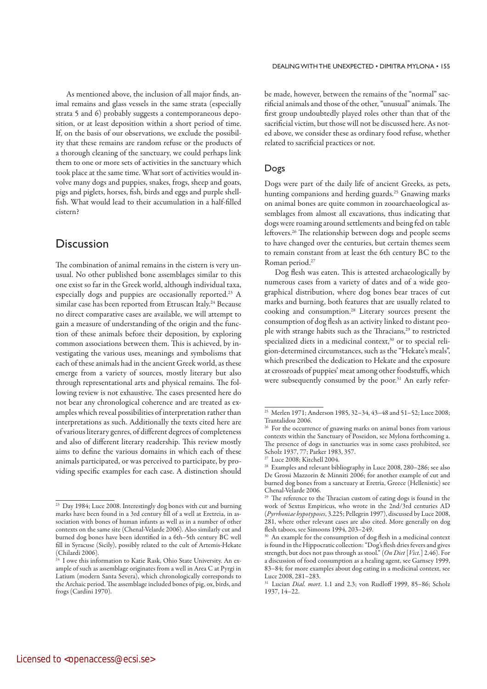As mentioned above, the inclusion of all major finds, animal remains and glass vessels in the same strata (especially strata 5 and 6) probably suggests a contemporaneous deposition, or at least deposition within a short period of time. If, on the basis of our observations, we exclude the possibility that these remains are random refuse or the products of a thorough cleaning of the sanctuary, we could perhaps link them to one or more sets of activities in the sanctuary which took place at the same time. What sort of activities would involve many dogs and puppies, snakes, frogs, sheep and goats, pigs and piglets, horses, fish, birds and eggs and purple shellfish. What would lead to their accumulation in a half-filled cistern?

## **Discussion**

The combination of animal remains in the cistern is very unusual. No other published bone assemblages similar to this one exist so far in the Greek world, although individual taxa, especially dogs and puppies are occasionally reported.23 A similar case has been reported from Etruscan Italy.<sup>24</sup> Because no direct comparative cases are available, we will attempt to gain a measure of understanding of the origin and the function of these animals before their deposition, by exploring common associations between them. This is achieved, by investigating the various uses, meanings and symbolisms that each of these animals had in the ancient Greek world, as these emerge from a variety of sources, mostly literary but also through representational arts and physical remains. The following review is not exhaustive. The cases presented here do not bear any chronological coherence and are treated as examples which reveal possibilities of interpretation rather than interpretations as such. Additionally the texts cited here are of various literary genres, of different degrees of completeness and also of different literary readership. This review mostly aims to define the various domains in which each of these animals participated, or was perceived to participate, by providing specific examples for each case. A distinction should be made, however, between the remains of the "normal" sacrificial animals and those of the other, "unusual" animals. The first group undoubtedly played roles other than that of the sacrificial victim, but those will not be discussed here. As noted above, we consider these as ordinary food refuse, whether related to sacrificial practices or not.

## Dogs

Dogs were part of the daily life of ancient Greeks, as pets, hunting companions and herding guards.<sup>25</sup> Gnawing marks on animal bones are quite common in zooarchaeological assemblages from almost all excavations, thus indicating that dogs were roaming around settlements and being fed on table leftovers.<sup>26</sup> The relationship between dogs and people seems to have changed over the centuries, but certain themes seem to remain constant from at least the 6th century BC to the Roman period.27

Dog flesh was eaten. This is attested archaeologically by numerous cases from a variety of dates and of a wide geographical distribution, where dog bones bear traces of cut marks and burning, both features that are usually related to cooking and consumption.28 Literary sources present the consumption of dog flesh as an activity linked to distant people with strange habits such as the Thracians,<sup>29</sup> to restricted specialized diets in a medicinal context,<sup>30</sup> or to special religion-determined circumstances, such as the "Hekate's meals", which prescribed the dedication to Hekate and the exposure at crossroads of puppies' meat among other foodstuffs, which were subsequently consumed by the poor.<sup>31</sup> An early refer-

<sup>23</sup> Day 1984; Luce 2008. Interestingly dog bones with cut and burning marks have been found in a 3rd century fill of a well at Eretreia, in association with bones of human infants as well as in a number of other contexts on the same site (Chenal-Velarde 2006). Also similarly cut and burned dog bones have been identified in a 6th–5th century BC well fill in Syracuse (Sicily), possibly related to the cult of Artemis-Hekate (Chilardi 2006).

 $24$  I owe this information to Katie Rask, Ohio State University. An example of such as assemblage originates from a well in Area C at Pyrgi in Latium (modern Santa Severa), which chronologically corresponds to the Archaic period. The assemblage included bones of pig, ox, birds, and frogs (Cardini 1970).

<sup>25</sup> Merlen 1971; Anderson 1985, 32–34, 43–48 and 51–52; Luce 2008; Trantalidou 2006.

<sup>&</sup>lt;sup>26</sup> For the occurrence of gnawing marks on animal bones from various contexts within the Sanctuary of Poseidon, see Mylona forthcoming a. The presence of dogs in sanctuaries was in some cases prohibited, see Scholz 1937, 77; Parker 1983, 357.

<sup>27</sup> Luce 2008; Kitchell 2004.

<sup>28</sup> Examples and relevant bibliography in Luce 2008, 280–286; see also De Grossi Mazzorin & Minniti 2006; for another example of cut and burned dog bones from a sanctuary at Eretria, Greece (Hellenistic) see Chenal-Velarde 2006.

<sup>&</sup>lt;sup>29</sup> The reference to the Thracian custom of eating dogs is found in the work of Sextus Empiricus, who wrote in the 2nd/3rd centuries AD (Pyrrhoniae hypotyposes, 3.225; Pellegrin 1997), discussed by Luce 2008, 281, where other relevant cases are also cited. More generally on dog flesh taboos, see Simoons 1994, 203–249.

An example for the consumption of dog flesh in a medicinal context is found in the Hippocratic collection: "Dog's flesh dries fevers and gives strength, but does not pass through as stool." (On Diet [Vict.] 2.46). For a discussion of food consumption as a healing agent, see Garnsey 1999, 83–84; for more examples about dog eating in a medicinal context, see Luce 2008, 281–283.

<sup>&</sup>lt;sup>31</sup> Lucian *Dial. mort.* 1.1 and 2.3; von Rudloff 1999, 85-86; Scholz 1937, 14–22.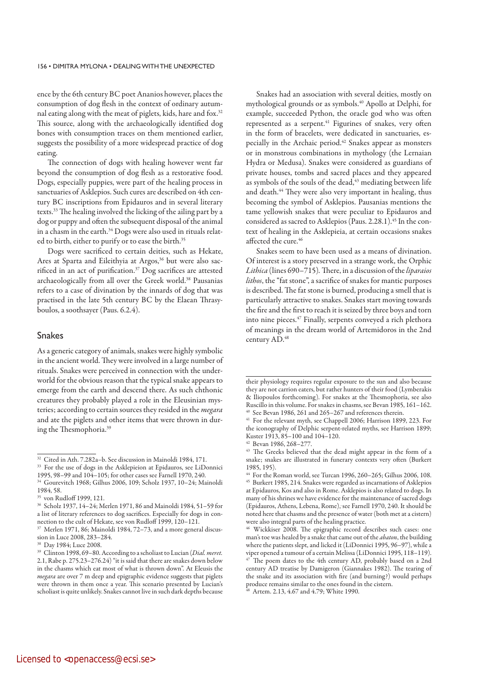ence by the 6th century BC poet Ananios however, places the consumption of dog flesh in the context of ordinary autumnal eating along with the meat of piglets, kids, hare and fox.32 This source, along with the archaeologically identified dog bones with consumption traces on them mentioned earlier, suggests the possibility of a more widespread practice of dog eating.

The connection of dogs with healing however went far beyond the consumption of dog flesh as a restorative food. Dogs, especially puppies, were part of the healing process in sanctuaries of Asklepios. Such cures are described on 4th century BC inscriptions from Epidauros and in several literary texts.33 The healing involved the licking of the ailing part by a dog or puppy and often the subsequent disposal of the animal in a chasm in the earth.<sup>34</sup> Dogs were also used in rituals related to birth, either to purify or to ease the birth.<sup>35</sup>

Dogs were sacrificed to certain deities, such as Hekate, Ares at Sparta and Eileithyia at Argos,<sup>36</sup> but were also sacrificed in an act of purification.<sup>37</sup> Dog sacrifices are attested archaeologically from all over the Greek world.<sup>38</sup> Pausanias refers to a case of divination by the innards of dog that was practised in the late 5th century BC by the Elaean Thrasyboulos, a soothsayer (Paus. 6.2.4).

## Snakes

As a generic category of animals, snakes were highly symbolic in the ancient world. They were involved in a large number of rituals. Snakes were perceived in connection with the underworld for the obvious reason that the typical snake appears to emerge from the earth and descend there. As such chthonic creatures they probably played a role in the Eleusinian mysteries; according to certain sources they resided in the megara and ate the piglets and other items that were thrown in during the Thesmophoria.39

Snakes had an association with several deities, mostly on mythological grounds or as symbols.40 Apollo at Delphi, for example, succeeded Python, the oracle god who was often represented as a serpent.<sup>41</sup> Figurines of snakes, very often in the form of bracelets, were dedicated in sanctuaries, especially in the Archaic period.42 Snakes appear as monsters or in monstrous combinations in mythology (the Lernaian Hydra or Medusa). Snakes were considered as guardians of private houses, tombs and sacred places and they appeared as symbols of the souls of the dead,<sup>43</sup> mediating between life and death.<sup>44</sup> They were also very important in healing, thus becoming the symbol of Asklepios. Pausanias mentions the tame yellowish snakes that were peculiar to Epidauros and considered as sacred to Asklepios (Paus. 2.28.1).<sup>45</sup> In the context of healing in the Asklepieia, at certain occasions snakes affected the cure.46

Snakes seem to have been used as a means of divination. Of interest is a story preserved in a strange work, the Orphic Lithica (lines 690–715). There, in a discussion of the liparaios lithos, the "fat stone", a sacrifice of snakes for mantic purposes is described. The fat stone is burned, producing a smell that is particularly attractive to snakes. Snakes start moving towards the fire and the first to reach it is seized by three boys and torn into nine pieces.47 Finally, serpents conveyed a rich plethora of meanings in the dream world of Artemidoros in the 2nd century AD.<sup>48</sup>

<sup>32</sup> Cited in Ath. 7.282a–b. See discussion in Mainoldi 1984, 171.

<sup>33</sup> For the use of dogs in the Asklepieion at Epidauros, see LiDonnici 1995, 98–99 and 104–105; for other cases see Farnell 1970, 240.

<sup>34</sup> Gourevitch 1968; Gilhus 2006, 109; Scholz 1937, 10–24; Mainoldi 1984, 58.

<sup>35</sup> von Rudloff 1999, 121.

<sup>36</sup> Scholz 1937, 14–24; Merlen 1971, 86 and Mainoldi 1984, 51–59 for a list of literary references to dog sacrifices. Especially for dogs in connection to the cult of Hekate, see von Rudloff 1999, 120–121.

<sup>37</sup> Merlen 1971, 86; Mainoldi 1984, 72–73, and a more general discussion in Luce 2008, 283–284.

<sup>38</sup> Day 1984; Luce 2008.

<sup>&</sup>lt;sup>39</sup> Clinton 1998, 69-80. According to a scholiast to Lucian (Dial. meret. 2.1, Rabe p. 275.23–276.24) "it is said that there are snakes down below in the chasms which eat most of what is thrown down". At Eleusis the megara are over 7 m deep and epigraphic evidence suggests that piglets were thrown in them once a year. This scenario presented by Lucian's scholiast is quite unlikely. Snakes cannot live in such dark depths because

their physiology requires regular exposure to the sun and also because they are not carrion eaters, but rather hunters of their food (Lymberakis & Iliopoulos forthcoming). For snakes at the Thesmophoria, see also Ruscillo in this volume. For snakes in chasms, see Bevan 1985, 161–162. See Bevan 1986, 261 and 265–267 and references therein.

<sup>41</sup> For the relevant myth, see Chappell 2006; Harrison 1899, 223. For the iconography of Delphic serpent-related myths, see Harrison 1899; Kuster 1913, 85–100 and 104–120.

Bevan 1986, 268–277.

<sup>43</sup> The Greeks believed that the dead might appear in the form of a snake; snakes are illustrated in funerary contexts very often (Burkert 1985, 195).

<sup>44</sup> For the Roman world, see Turcan 1996, 260–265; Gilhus 2006, 108.

<sup>45</sup> Burkert 1985, 214. Snakes were regarded as incarnations of Asklepios at Epidauros, Kos and also in Rome. Asklepios is also related to dogs. In many of his shrines we have evidence for the maintenance of sacred dogs (Epidauros, Athens, Lebena, Rome), see Farnell 1970, 240. It should be noted here that chasms and the presence of water (both met at a cistern) were also integral parts of the healing practice.

Wickkiser 2008. The epigraphic record describes such cases: one man's toe was healed by a snake that came out of the abaton, the building where the patients slept, and licked it (LiDonnici 1995, 96–97), while a viper opened a tumour of a certain Melissa (LiDonnici 1995, 118–119). The poem dates to the 4th century AD, probably based on a 2nd century AD treatise by Damigeron (Giannakes 1982). The tearing of the snake and its association with fire (and burning?) would perhaps produce remains similar to the ones found in the cistern.

Artem. 2.13, 4.67 and 4.79; White 1990.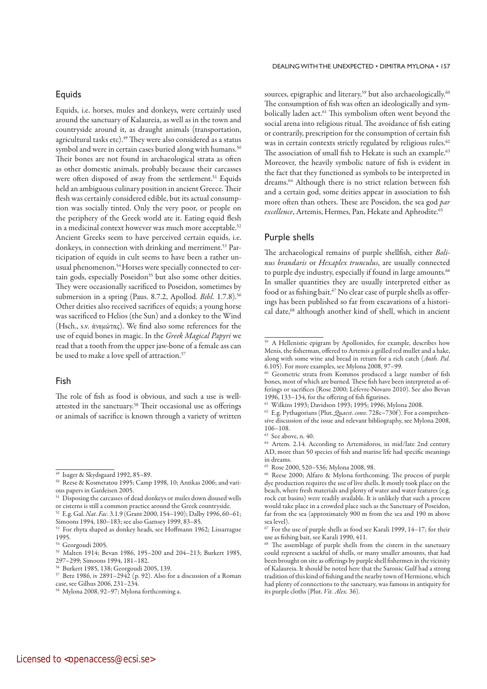## **Equids**

Equids, i.e. horses, mules and donkeys, were certainly used around the sanctuary of Kalaureia, as well as in the town and countryside around it, as draught animals (transportation, agricultural tasks etc).<sup>49</sup> They were also considered as a status symbol and were in certain cases buried along with humans.<sup>50</sup> Their bones are not found in archaeological strata as often as other domestic animals, probably because their carcasses were often disposed of away from the settlement.<sup>51</sup> Equids held an ambiguous culinary position in ancient Greece. Their flesh was certainly considered edible, but its actual consumption was socially tinted. Only the very poor, or people on the periphery of the Greek world ate it. Eating equid flesh in a medicinal context however was much more acceptable.<sup>52</sup> Ancient Greeks seem to have perceived certain equids, i.e. donkeys, in connection with drinking and merriment.<sup>53</sup> Participation of equids in cult seems to have been a rather unusual phenomenon.<sup>54</sup> Horses were specially connected to certain gods, especially Poseidon<sup>55</sup> but also some other deities. They were occasionally sacrificed to Poseidon, sometimes by submersion in a spring (Paus. 8.7.2, Apollod. Bibl. 1.7.8).<sup>56</sup> Other deities also received sacrifices of equids; a young horse was sacrificed to Helios (the Sun) and a donkey to the Wind (Hsch., s.v. ἀνεμώτας). We find also some references for the use of equid bones in magic. In the Greek Magical Papyri we read that a tooth from the upper jaw-bone of a female ass can be used to make a love spell of attraction.<sup>57</sup>

## Fish

The role of fish as food is obvious, and such a use is wellattested in the sanctuary.58 Their occasional use as offerings or animals of sacrifice is known through a variety of written

### DEALING WITH THE UNEXPECTED • DIMITRA MYLONA • 157

sources, epigraphic and literary,<sup>59</sup> but also archaeologically.<sup>60</sup> The consumption of fish was often an ideologically and symbolically laden act.<sup>61</sup> This symbolism often went beyond the social arena into religious ritual. The avoidance of fish eating or contrarily, prescription for the consumption of certain fish was in certain contexts strictly regulated by religious rules.<sup>62</sup> The association of small fish to Hekate is such an example.<sup>63</sup> Moreover, the heavily symbolic nature of fish is evident in the fact that they functioned as symbols to be interpreted in dreams.<sup>64</sup> Although there is no strict relation between fish and a certain god, some deities appear in association to fish more often than others. These are Poseidon, the sea god par excellence, Artemis, Hermes, Pan, Hekate and Aphrodite.<sup>65</sup>

### Purple shells

The archaeological remains of purple shellfish, either Bolinus brandaris or Hexaplex trunculus, are usually connected to purple dye industry, especially if found in large amounts.<sup>66</sup> In smaller quantities they are usually interpreted either as food or as fishing bait.<sup>67</sup> No clear case of purple shells as offerings has been published so far from excavations of a historical date,<sup>68</sup> although another kind of shell, which in ancient

<sup>49</sup> Isager & Skydsgaard 1992, 85–89.

<sup>50</sup> Reese & Kosmetatou 1995; Camp 1998, 10; Antikas 2006; and various papers in Gardeisen 2005.

<sup>&</sup>lt;sup>51</sup> Disposing the carcasses of dead donkeys or mules down disused wells or cisterns is still a common practice around the Greek countryside.

<sup>&</sup>lt;sup>52</sup> E.g. Gal. *Nat. Fac.* 3.1.9 (Grant 2000, 154-190); Dalby 1996, 60-61; Simoons 1994, 180–183; see also Garnsey 1999, 83–85.

<sup>53</sup> For rhyta shaped as donkey heads, see Hoffmann 1962; Lissarrague 1995.

<sup>54</sup> Georgoudi 2005.

<sup>55</sup> Malten 1914; Bevan 1986, 195–200 and 204–213; Burkert 1985, 297–299; Simoons 1994, 181–182.

<sup>56</sup> Burkert 1985, 138; Georgoudi 2005, 139.

<sup>57</sup> Betz 1986, iv 2891–2942 (p. 92). Also for a discussion of a Roman case, see Gilhus 2006, 231–234.

<sup>58</sup> Mylona 2008, 92–97; Mylona forthcoming a.

<sup>59</sup> A Hellenistic epigram by Apollonides, for example, describes how Menis, the fisherman, offered to Artemis a grilled red mullet and a hake, along with some wine and bread in return for a rich catch (Anth. Pal. 6.105). For more examples, see Mylona 2008, 97–99.

Geometric strata from Kommos produced a large number of fish bones, most of which are burned. These fish have been interpreted as offerings or sacrifices (Rose 2000; Lèfevre-Novaro 2010). See also Bevan 1996, 133–134, for the offering of fish figurines.

<sup>61</sup> Wilkins 1993; Davidson 1993; 1995; 1996; Mylona 2008.

<sup>&</sup>lt;sup>62</sup> E.g. Pythagorians (Plut. *Quaest. conv.* 728c-730f). For a comprehensive discussion of the issue and relevant bibliography, see Mylona 2008, 106–108.

<sup>63</sup> See above, n. 40.

<sup>64</sup> Artem. 2.14. According to Artemidoros, in mid/late 2nd century AD, more than 50 species of fish and marine life had specific meanings in dreams.

<sup>65</sup> Rose 2000, 520–536; Mylona 2008, 98.

<sup>66</sup> Reese 2000; Alfaro & Mylona forthcoming. The process of purple dye production requires the use of live shells. It mostly took place on the beach, where fresh materials and plenty of water and water features (e.g. rock cut basins) were readily available. It is unlikely that such a process would take place in a crowded place such as the Sanctuary of Poseidon, far from the sea (approximately 900 m from the sea and 190 m above sea level).

 $67$  For the use of purple shells as food see Karali 1999, 14-17; for their use as fishing bait, see Karali 1990, 411.

<sup>&</sup>lt;sup>68</sup> The assemblage of purple shells from the cistern in the sanctuary could represent a sackful of shells, or many smaller amounts, that had been brought on site as offerings by purple shell fishermen in the vicinity of Kalaureia. It should be noted here that the Saronic Gulf had a strong tradition of this kind of fishing and the nearby town of Hermione, which had plenty of connections to the sanctuary, was famous in antiquity for its purple cloths (Plut. Vit. Alex. 36).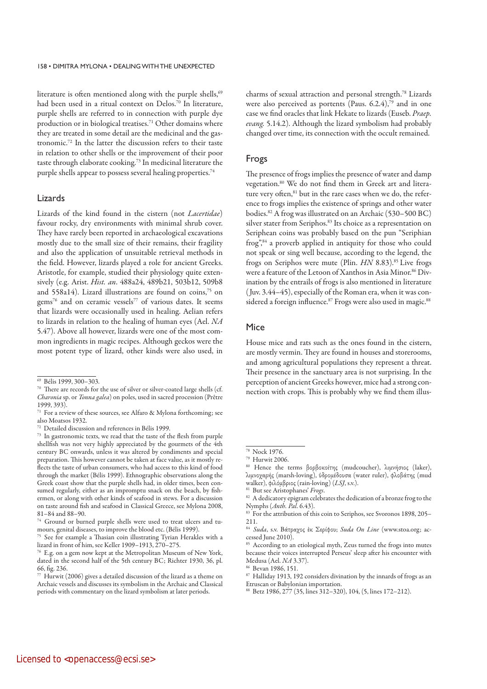literature is often mentioned along with the purple shells,<sup>69</sup> had been used in a ritual context on Delos.<sup>70</sup> In literature, purple shells are referred to in connection with purple dye production or in biological treatises.<sup>71</sup> Other domains where they are treated in some detail are the medicinal and the gastronomic.72 In the latter the discussion refers to their taste in relation to other shells or the improvement of their poor taste through elaborate cooking.73 In medicinal literature the purple shells appear to possess several healing properties.<sup>74</sup>

### Lizards

Lizards of the kind found in the cistern (not Lacertidae) favour rocky, dry environments with minimal shrub cover. They have rarely been reported in archaeological excavations mostly due to the small size of their remains, their fragility and also the application of unsuitable retrieval methods in the field. However, lizards played a role for ancient Greeks. Aristotle, for example, studied their physiology quite extensively (e.g. Arist. Hist. an. 488a24, 489b21, 503b12, 509b8 and 558a14). Lizard illustrations are found on coins,<sup>75</sup> on gems<sup>76</sup> and on ceramic vessels<sup>77</sup> of various dates. It seems that lizards were occasionally used in healing. Aelian refers to lizards in relation to the healing of human eyes (Ael. NA 5.47). Above all however, lizards were one of the most common ingredients in magic recipes. Although geckos were the most potent type of lizard, other kinds were also used, in

 $77$  Hurwit (2006) gives a detailed discussion of the lizard as a theme on Archaic vessels and discusses its symbolism in the Archaic and Classical periods with commentary on the lizard symbolism at later periods.

charms of sexual attraction and personal strength.78 Lizards were also perceived as portents (Paus. 6.2.4),<sup>79</sup> and in one case we find oracles that link Hekate to lizards (Euseb. Praep. evang. 5.14.2). Although the lizard symbolism had probably changed over time, its connection with the occult remained.

## Frogs

The presence of frogs implies the presence of water and damp vegetation.80 We do not find them in Greek art and literature very often,<sup>81</sup> but in the rare cases when we do, the reference to frogs implies the existence of springs and other water bodies.82 A frog was illustrated on an Archaic (530–500 BC) silver stater from Seriphos.<sup>83</sup> Its choice as a representation on Seriphean coins was probably based on the pun "Seriphian frog",84 a proverb applied in antiquity for those who could not speak or sing well because, according to the legend, the frogs on Seriphos were mute (Plin. HN 8.83).<sup>85</sup> Live frogs were a feature of the Letoon of Xanthos in Asia Minor.<sup>86</sup> Divination by the entrails of frogs is also mentioned in literature ( Juv. 3.44–45), especially of the Roman era, when it was considered a foreign influence.<sup>87</sup> Frogs were also used in magic.<sup>88</sup>

## Mice

House mice and rats such as the ones found in the cistern, are mostly vermin. They are found in houses and storerooms, and among agricultural populations they represent a threat. Their presence in the sanctuary area is not surprising. In the perception of ancient Greeks however, mice had a strong connection with crops. This is probably why we find them illus-

88 Betz 1986, 277 (35, lines 312–320), 104, (5, lines 172–212).

<sup>69</sup> Bélis 1999, 300–303.

 $^{70}$  There are records for the use of silver or silver-coated large shells (cf. Charonia sp. or Tonna galea) on poles, used in sacred procession (Prêtre 1999, 393).

<sup>71</sup> For a review of these sources, see Alfaro & Mylona forthcoming; see also Moatsos 1932.

<sup>72</sup> Detailed discussion and references in Bélis 1999.

<sup>73</sup> In gastronomic texts, we read that the taste of the flesh from purple shellfish was not very highly appreciated by the gourmets of the 4th century BC onwards, unless it was altered by condiments and special preparation. This however cannot be taken at face value, as it mostly reflects the taste of urban consumers, who had access to this kind of food through the market (Bélis 1999). Ethnographic observations along the Greek coast show that the purple shells had, in older times, been consumed regularly, either as an impromptu snack on the beach, by fishermen, or along with other kinds of seafood in stews. For a discussion on taste around fish and seafood in Classical Greece, see Mylona 2008, 81–84 and 88–90.

<sup>74</sup> Ground or burned purple shells were used to treat ulcers and tumours, genital diseases, to improve the blood etc. (Bélis 1999).

See for example a Thasian coin illustrating Tyrian Herakles with a lizard in front of him, see Keller 1909–1913, 270–275.

<sup>76</sup> E.g. on a gem now kept at the Metropolitan Museum of New York, dated in the second half of the 5th century BC; Richter 1930, 36, pl. 66, fig. 236.

<sup>&</sup>lt;sup>78</sup> Nock 1976.<br><sup>79</sup> Hurwit 2006.

<sup>&</sup>lt;sup>80</sup> Hence the terms βορβοκοίτης (mudcoucher), λιμνήσιος (laker), λιμνοχαρής (marsh-loving), ὑδρομέδουσα (water ruler), φλοβάτης (mud walker), φιλόμβριος (rain-loving) (LSJ, s.v.).<br><sup>81</sup> But see Aristophanes' *Frogs*.

<sup>&</sup>lt;sup>82</sup> A dedicatory epigram celebrates the dedication of a bronze frog to the Nymphs (Anth. Pal. 6.43).

<sup>&</sup>lt;sup>83</sup> For the attribution of this coin to Seriphos, see Svoronos 1898, 205– 211.

<sup>84</sup> Suda, s.v. Βάτραχος έκ Σερίφου; Suda On Line (www.stoa.org; accessed June 2010).

<sup>&</sup>lt;sup>85</sup> According to an etiological myth, Zeus turned the frogs into mutes because their voices interrupted Perseus' sleep after his encounter with Medusa (Ael. NA 3.37).

<sup>86</sup> Bevan 1986, 151.

<sup>&</sup>lt;sup>87</sup> Halliday 1913, 192 considers divination by the innards of frogs as an Etruscan or Babylonian importation.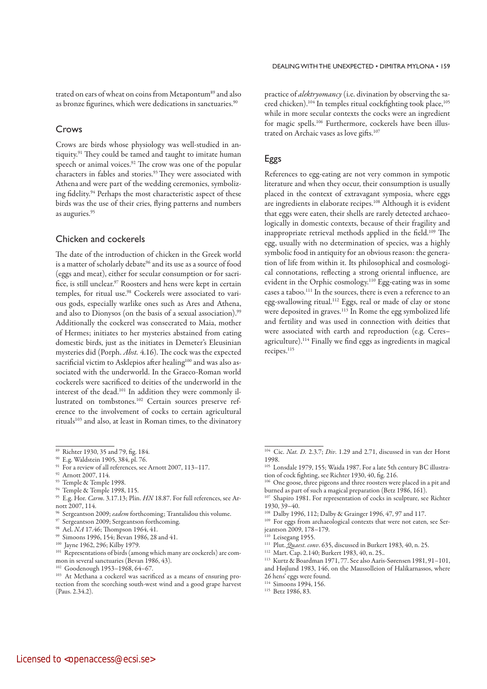trated on ears of wheat on coins from Metapontum<sup>89</sup> and also as bronze figurines, which were dedications in sanctuaries.<sup>90</sup>

## Crows

Crows are birds whose physiology was well-studied in antiquity.91 They could be tamed and taught to imitate human speech or animal voices.<sup>92</sup> The crow was one of the popular characters in fables and stories.<sup>93</sup> They were associated with Athenaand were part of the wedding ceremonies, symbolizing fidelity.94 Perhaps the most characteristic aspect of these birds was the use of their cries, flying patterns and numbers as auguries.95

## Chicken and cockerels

The date of the introduction of chicken in the Greek world is a matter of scholarly debate<sup>96</sup> and its use as a source of food (eggs and meat), either for secular consumption or for sacrifice, is still unclear.<sup>97</sup> Roosters and hens were kept in certain temples, for ritual use.98 Cockerels were associated to various gods, especially warlike ones such as Ares and Athena, and also to Dionysos (on the basis of a sexual association).<sup>99</sup> Additionally the cockerel was consecrated to Maia, mother of Hermes; initiates to her mysteries abstained from eating domestic birds, just as the initiates in Demeter's Eleusinian mysteries did (Porph. Abst. 4.16). The cock was the expected sacrificial victim to Asklepios after healing<sup>100</sup> and was also associated with the underworld. In the Graeco-Roman world cockerels were sacrificed to deities of the underworld in the interest of the dead.101 In addition they were commonly illustrated on tombstones.102 Certain sources preserve reference to the involvement of cocks to certain agricultural rituals<sup>103</sup> and also, at least in Roman times, to the divinatory

- 
- <sup>93</sup> Temple & Temple 1998.<br><sup>94</sup> Temple & Temple 1998, 115.
- <sup>95</sup> E.g. Hor. Carm. 3.17.13; Plin. HN 18.87. For full references, see Arnott 2007, 114.
- $6$  Sergeantson 2009; eadem forthcoming; Trantalidou this volume.
- <sup>97</sup> Sergeantson 2009; Sergeantson forthcoming.
- <sup>98</sup> Ael. NA 17.46; Thompson 1964, 41.
- 99 Simoons 1996, 154; Bevan 1986, 28 and 41.
- 100 Jayne 1962, 296; Kilby 1979.

practice of *alektryomancy* (i.e. divination by observing the sacred chicken).<sup>104</sup> In temples ritual cockfighting took place,<sup>105</sup> while in more secular contexts the cocks were an ingredient for magic spells.<sup>106</sup> Furthermore, cockerels have been illustrated on Archaic vases as love gifts.107

## Eggs

References to egg-eating are not very common in sympotic literature and when they occur, their consumption is usually placed in the context of extravagant symposia, where eggs are ingredients in elaborate recipes.108 Although it is evident that eggs were eaten, their shells are rarely detected archaeologically in domestic contexts, because of their fragility and inappropriate retrieval methods applied in the field.<sup>109</sup> The egg, usually with no determination of species, was a highly symbolic food in antiquity for an obvious reason: the generation of life from within it. Its philosophical and cosmological connotations, reflecting a strong oriental influence, are evident in the Orphic cosmology.110 Egg-eating was in some cases a taboo.111 In the sources, there is even a reference to an egg-swallowing ritual.112 Eggs, real or made of clay or stone were deposited in graves.<sup>113</sup> In Rome the egg symbolized life and fertility and was used in connection with deities that were associated with earth and reproduction (e.g. Ceres– agriculture).114 Finally we find eggs as ingredients in magical recipes.<sup>115</sup>

- <sup>111</sup> Plut. *Quaest. conv.* 635, discussed in Burkert 1983, 40, n. 25.
- 112 Mart. Cap. 2.140; Burkert 1983, 40, n. 25..
- 113 Kurtz & Boardman 1971, 77. See also Aaris-Sørensen 1981, 91–101, and Højlund 1983, 146, on the Maussolleion of Halikarnassos, where
- 26 hens' eggs were found.
- <sup>114</sup> Simoons 1994, 156.
- 115 Betz 1986, 83.

<sup>&</sup>lt;sup>89</sup> Richter 1930, 35 and 79, fig. 184.

<sup>90</sup> E.g. Waldstein 1905, 384, pl. 76.

<sup>&</sup>lt;sup>91</sup> For a review of all references, see Arnott 2007, 113-117.

<sup>92</sup> Arnott 2007, 114.

<sup>&</sup>lt;sup>101</sup> Representations of birds (among which many are cockerels) are common in several sanctuaries (Bevan 1986, 43).

<sup>102</sup> Goodenough 1953–1968, 64–67.

<sup>103</sup> At Methana a cockerel was sacrificed as a means of ensuring protection from the scorching south-west wind and a good grape harvest (Paus. 2.34.2).

 $104$  Cic. *Nat. D.* 2.3.7; *Div.* 1.29 and 2.71, discussed in van der Horst 1998.

<sup>105</sup> Lonsdale 1979, 155; Waida 1987. For a late 5th century BC illustration of cock fighting, see Richter 1930, 40, fig. 216.

<sup>106</sup> One goose, three pigeons and three roosters were placed in a pit and burned as part of such a magical preparation (Betz 1986, 161).

<sup>&</sup>lt;sup>107</sup> Shapiro 1981. For representation of cocks in sculpture, see Richter 1930, 39–40.

<sup>108</sup> Dalby 1996, 112; Dalby & Grainger 1996, 47, 97 and 117.

<sup>&</sup>lt;sup>109</sup> For eggs from archaeological contexts that were not eaten, see Serjeantson 2009, 178–179.

<sup>&</sup>lt;sup>110</sup> Leisegang 1955.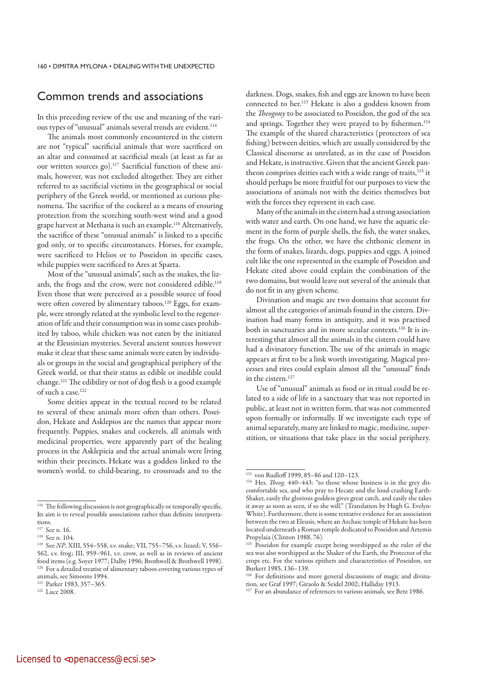## Common trends and associations

In this preceding review of the use and meaning of the various types of "unusual" animals several trends are evident.<sup>116</sup>

The animals most commonly encountered in the cistern are not "typical" sacrificial animals that were sacrificed on an altar and consumed at sacrificial meals (at least as far as our written sources go).117 Sacrificial function of these animals, however, was not excluded altogether. They are either referred to as sacrificial victims in the geographical or social periphery of the Greek world, or mentioned as curious phenomena. The sacrifice of the cockerel as a means of ensuring protection from the scorching south-west wind and a good grape harvest at Methana is such an example.118 Alternatively, the sacrifice of these "unusual animals" is linked to a specific god only, or to specific circumstances. Horses, for example, were sacrificed to Helios or to Poseidon in specific cases, while puppies were sacrificed to Ares at Sparta.

Most of the "unusual animals", such as the snakes, the lizards, the frogs and the crow, were not considered edible.<sup>119</sup> Even those that were perceived as a possible source of food were often covered by alimentary taboos.<sup>120</sup> Eggs, for example, were strongly related at the symbolic level to the regeneration of life and their consumption was in some cases prohibited by taboo, while chicken was not eaten by the initiated at the Eleusinian mysteries. Several ancient sources however make it clear that these same animals were eaten by individuals or groups in the social and geographical periphery of the Greek world, or that their status as edible or inedible could change.121 The edibility or not of dog flesh is a good example of such a case.122

Some deities appear in the textual record to be related to several of these animals more often than others. Poseidon, Hekate and Asklepios are the names that appear more frequently. Puppies, snakes and cockerels, all animals with medicinal properties, were apparently part of the healing process in the Asklepieia and the actual animals were living within their precincts. Hekate was a goddess linked to the women's world, to child-bearing, to crossroads and to the darkness. Dogs, snakes, fish and eggs are known to have been connected to her.123 Hekate is also a goddess known from the Theogony to be associated to Poseidon, the god of the sea and springs. Together they were prayed to by fishermen.<sup>124</sup> The example of the shared characteristics (protectors of sea fishing) between deities, which are usually considered by the Classical discourse as unrelated, as in the case of Poseidon and Hekate, is instructive. Given that the ancient Greek pantheon comprises deities each with a wide range of traits,<sup>125</sup> it should perhaps be more fruitful for our purposes to view the associations of animals not with the deities themselves but with the forces they represent in each case.

Many of the animals in the cistern had a strong association with water and earth. On one hand, we have the aquatic element in the form of purple shells, the fish, the water snakes, the frogs. On the other, we have the chthonic element in the form of snakes, lizards, dogs, puppies and eggs. A joined cult like the one represented in the example of Poseidon and Hekate cited above could explain the combination of the two domains, but would leave out several of the animals that do not fit in any given scheme.

Divination and magic are two domains that account for almost all the categories of animals found in the cistern. Divination had many forms in antiquity, and it was practised both in sanctuaries and in more secular contexts.126 It is interesting that almost all the animals in the cistern could have had a divinatory function.The use of the animals in magic appears at first to be a link worth investigating. Magical processes and rites could explain almost all the "unusual" finds in the cistern.127

Use of "unusual" animals as food or in ritual could be related to a side of life in a sanctuary that was not reported in public, at least not in written form, that was not commented upon formally or informally. If we investigate each type of animal separately, many are linked to magic, medicine, superstition, or situations that take place in the social periphery.

<sup>&</sup>lt;sup>116</sup> The following discussion is not geographically or temporally specific. Its aim is to reveal possible associations rather than definite interpretations.

<sup>117</sup> See n. 16.

<sup>118</sup> See n. 104.

<sup>119</sup> See NP, XIII, 554–558, s.v. snake; VII, 755–756, s.v. lizard; V, 556– 562, s.v. frog; III, 959–961, s.v. crow, as well as in reviews of ancient food items (e.g. Soyer 1977; Dalby 1996; Brothwell & Brothwell 1998). <sup>120</sup> For a detailed treatise of alimentary taboos covering various types of animals, see Simoons 1994.

<sup>121</sup> Parker 1983, 357–365. 122 Luce 2008.

<sup>&</sup>lt;sup>123</sup> von Rudloff 1999, 85–86 and 120–123.

<sup>124</sup> Hes. Theog. 440-443: "to those whose business is in the grey discomfortable sea, and who pray to Hecate and the loud-crashing Earth-Shaker, easily the glorious goddess gives great catch, and easily she takes it away as soon as seen, if so she will." (Translation by Hugh G. Evelyn-White). Furthermore, there is some tentative evidence for an association between the two at Eleusis, where an Archaic temple of Hekate has been located underneath a Roman temple dedicated to Poseidon and Artemis Propylaia (Clinton 1988, 76).

<sup>&</sup>lt;sup>125</sup> Poseidon for example except being worshipped as the ruler of the sea was also worshipped as the Shaker of the Earth, the Protector of the crops etc. For the various epithets and characteristics of Poseidon, see Burkert 1985, 136–139.

<sup>126</sup> For definitions and more general discussions of magic and divination, see Graf 1997; Giraolo & Seidel 2002; Halliday 1913.

<sup>&</sup>lt;sup>127</sup> For an abundance of references to various animals, see Betz 1986.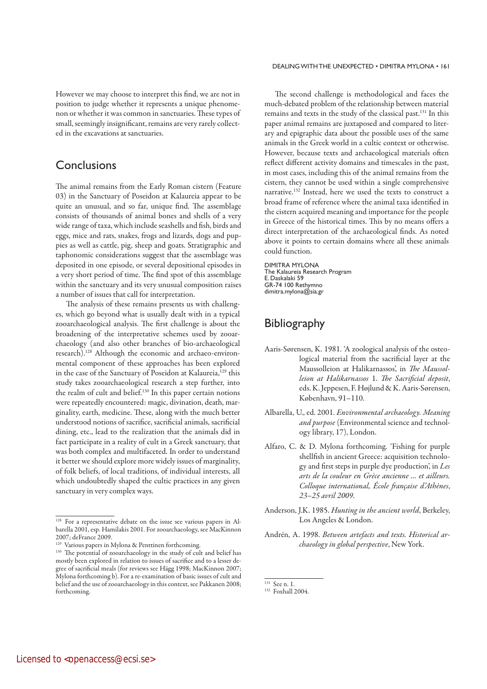### DEALING WITH THE UNEXPECTED • DIMITRA MYLONA • 161

However we may choose to interpret this find, we are not in position to judge whether it represents a unique phenomenon or whether it was common in sanctuaries. These types of small, seemingly insignificant, remains are very rarely collected in the excavations at sanctuaries.

## **Conclusions**

The animal remains from the Early Roman cistern (Feature 03) in the Sanctuary of Poseidon at Kalaureia appear to be quite an unusual, and so far, unique find. The assemblage consists of thousands of animal bones and shells of a very wide range of taxa, which include seashells and fish, birds and eggs, mice and rats, snakes, frogs and lizards, dogs and puppies as well as cattle, pig, sheep and goats. Stratigraphic and taphonomic considerations suggest that the assemblage was deposited in one episode, or several depositional episodes in a very short period of time. The find spot of this assemblage within the sanctuary and its very unusual composition raises a number of issues that call for interpretation.

The analysis of these remains presents us with challenges, which go beyond what is usually dealt with in a typical zooarchaeological analysis. The first challenge is about the broadening of the interpretative schemes used by zooarchaeology (and also other branches of bio-archaeological research).128 Although the economic and archaeo-environmental component of these approaches has been explored in the case of the Sanctuary of Poseidon at Kalaureia,<sup>129</sup> this study takes zooarchaeological research a step further, into the realm of cult and belief.<sup>130</sup> In this paper certain notions were repeatedly encountered: magic, divination, death, marginality, earth, medicine. These, along with the much better understood notions of sacrifice, sacrificial animals, sacrificial dining, etc., lead to the realization that the animals did in fact participate in a reality of cult in a Greek sanctuary, that was both complex and multifaceted. In order to understand it better we should explore more widely issues of marginality, of folk beliefs, of local traditions, of individual interests, all which undoubtedly shaped the cultic practices in any given sanctuary in very complex ways.

The second challenge is methodological and faces the much-debated problem of the relationship between material remains and texts in the study of the classical past.131 In this paper animal remains are juxtaposed and compared to literary and epigraphic data about the possible uses of the same animals in the Greek world in a cultic context or otherwise. However, because texts and archaeological materials often reflect different activity domains and timescales in the past, in most cases, including this of the animal remains from the cistern, they cannot be used within a single comprehensive narrative.132 Instead, here we used the texts to construct a broad frame of reference where the animal taxa identified in the cistern acquired meaning and importance for the people in Greece of the historical times. This by no means offers a direct interpretation of the archaeological finds. As noted above it points to certain domains where all these animals could function.

DIMITRA MYLONA The Kalaureia Research Program E. Daskalaki 59 GR-74 100 Rethymno dimitra.mylona@sia.gr

## Bibliography

- Aaris-Sørensen, K. 1981. 'A zoological analysis of the osteological material from the sacrificial layer at the Maussolleion at Halikarnassos', in The Maussolleion at Halikarnassos 1. The Sacrificial deposit, eds. K. Jeppesen, F. Højlund & K. Aaris-Sørensen, København, 91–110.
- Albarella, U., ed. 2001. Environmental archaeology. Meaning and purpose (Environmental science and technology library, 17), London.
- Alfaro, C. & D. Mylona forthcoming. 'Fishing for purple shellfish in ancient Greece: acquisition technology and first steps in purple dye production', in Les arts de la couleur en Grèce ancienne ... et ailleurs. Colloque international, École française d'Athènes, 23–25 avril 2009.
- Anderson, J.K. 1985. Hunting in the ancient world, Berkeley, Los Angeles & London.
- Andrén, A. 1998. Between artefacts and texts. Historical archaeology in global perspective, New York.

<sup>&</sup>lt;sup>128</sup> For a representative debate on the issue see various papers in Albarella 2001, esp. Hamilakis 2001. For zooarchaeology, see MacKinnon 2007; deFrance 2009.

<sup>&</sup>lt;sup>129</sup> Various papers in Mylona & Penttinen forthcoming.

<sup>130</sup> The potential of zooarchaeology in the study of cult and belief has mostly been explored in relation to issues of sacrifice and to a lesser degree of sacrificial meals (for reviews see Hägg 1998; MacKinnon 2007; Mylona forthcoming b). For a re-examination of basic issues of cult and belief and the use of zooarchaeology in this context, see Pakkanen 2008; forthcoming.

<sup>131</sup> See n. 1.

<sup>132</sup> Foxhall 2004.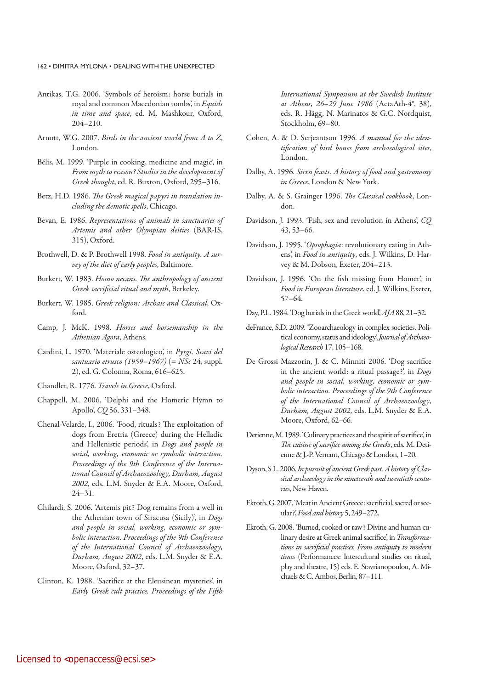- Antikas, T.G. 2006. 'Symbols of heroism: horse burials in royal and common Macedonian tombs', in Equids in time and space, ed. M. Mashkour, Oxford, 204–210.
- Arnott, W.G. 2007. Birds in the ancient world from A to Z, London.
- Bélis, M. 1999. 'Purple in cooking, medicine and magic', in From myth to reason? Studies in the development of Greek thought, ed. R. Buxton, Oxford, 295–316.
- Betz, H.D. 1986. The Greek magical papyri in translation including the demotic spells, Chicago.
- Bevan, E. 1986. Representations of animals in sanctuaries of Artemis and other Olympian deities (BAR-IS, 315), Oxford.
- Brothwell, D. & P. Brothwell 1998. Food in antiquity. A survey of the diet of early peoples, Baltimore.
- Burkert, W. 1983. Homo necans. The anthropology of ancient Greek sacrificial ritual and myth, Berkeley.
- Burkert, W. 1985. Greek religion: Archaic and Classical, Oxford.
- Camp, J. McK. 1998. Horses and horsemanship in the Athenian Agora, Athens.
- Cardini, L. 1970. 'Materiale osteologico', in Pyrgi. Scavi del santuario etrusco (1959–1967) (= NSc 24, suppl. 2), ed. G. Colonna, Roma, 616–625.
- Chandler, R. 1776. Travels in Greece, Oxford.
- Chappell, M. 2006. 'Delphi and the Homeric Hymn to Apollo', CQ 56, 331–348.
- Chenal-Velarde, I., 2006. 'Food, rituals? The exploitation of dogs from Eretria (Greece) during the Helladic and Hellenistic periods', in Dogs and people in social, working, economic or symbolic interaction. Proceedings of the 9th Conference of the International Council of Archaeozoology, Durham, August 2002, eds. L.M. Snyder & E.A. Moore, Oxford, 24–31.
- Chilardi, S. 2006. 'Artemis pit? Dog remains from a well in the Athenian town of Siracusa (Sicily)', in Dogs and people in social, working, economic or symbolic interaction. Proceedings of the 9th Conference of the International Council of Archaeozoology, Durham, August 2002, eds. L.M. Snyder & E.A. Moore, Oxford, 32–37.
- Clinton, K. 1988. 'Sacrifice at the Eleusinean mysteries', in Early Greek cult practice. Proceedings of the Fifth

International Symposium at the Swedish Institute at Athens, 26–29 June 1986 (ActaAth-4°, 38), eds. R. Hägg, N. Marinatos & G.C. Nordquist, Stockholm, 69–80.

- Cohen, A. & D. Serjeantson 1996. A manual for the identification of bird bones from archaeological sites, London.
- Dalby, A. 1996. Siren feasts. A history of food and gastronomy in Greece, London & New York.
- Dalby, A. & S. Grainger 1996. The Classical cookbook, London.
- Davidson, J. 1993. 'Fish, sex and revolution in Athens', CQ 43, 53–66.
- Davidson, J. 1995. 'Opsophagia: revolutionary eating in Athens', in Food in antiquity, eds. J. Wilkins, D. Harvey & M. Dobson, Exeter, 204–213.
- Davidson, J. 1996. 'On the fish missing from Homer', in Food in European literature, ed. J. Wilkins, Exeter, 57–64.
- Day, P.L. 1984. 'Dog burials in the Greek world', AJA 88, 21–32.
- deFrance, S.D. 2009. 'Zooarchaeology in complex societies. Political economy, status and ideology', Journal of Archaeological Research 17, 105–168.
- De Grossi Mazzorin, J. & C. Minniti 2006. 'Dog sacrifice in the ancient world: a ritual passage?', in Dogs and people in social, working, economic or symbolic interaction. Proceedings of the 9th Conference of the International Council of Archaeozoology, Durham, August 2002, eds. L.M. Snyder & E.A. Moore, Oxford, 62–66.
- Detienne, M. 1989. 'Culinary practices and the spirit of sacrifice', in The cuisine of sacrifice among the Greeks, eds. M. Detienne & J.-P. Vernant, Chicago & London, 1–20.
- Dyson, S L. 2006. In pursuit of ancient Greek past. A history of Classical archaeology in the nineteenth and twentieth centuries, New Haven.
- Ekroth, G. 2007. 'Meat in Ancient Greece: sacrificial, sacred or secular?', Food and history 5, 249–272.
- Ekroth, G. 2008. 'Burned, cooked or raw? Divine and human culinary desire at Greek animal sacrifice', in Transformations in sacrificial practises. From antiquity to modern times (Performances: Intercultural studies on ritual, play and theatre, 15) eds. E. Stavrianopoulou, A. Michaels & C. Ambos, Berlin, 87–111.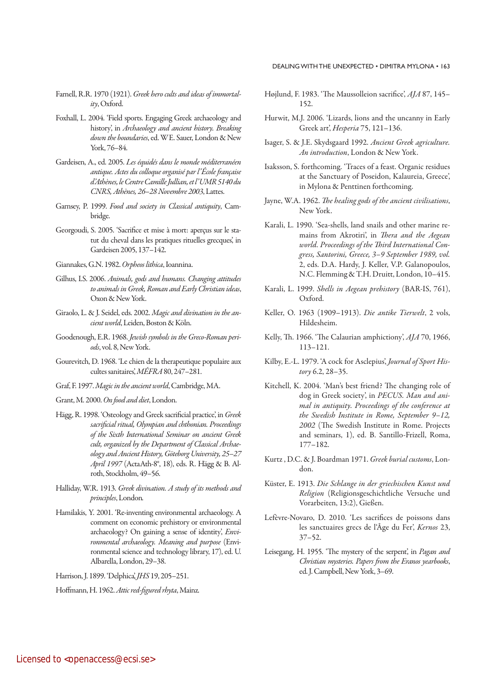- Farnell, R.R. 1970 (1921). Greek hero cults and ideas of immortality, Oxford.
- Foxhall, L. 2004. 'Field sports. Engaging Greek archaeology and history', in Archaeology and ancient history. Breaking down the boundaries, ed. WE. Sauer, London & New York, 76–84.
- Gardeisen, A., ed. 2005. Les équidés dans le monde méditerranéen antique. Actes du colloque organisé par l'École française d'Athènes, le Centre Camille Jullian, et l'UMR 5140 du CNRS, Athènes, 26-28 Novembre 2003, Lattes.
- Garnsey, P. 1999. Food and society in Classical antiquity, Cambridge.
- Georgoudi, S. 2005. 'Sacrifice et mise à mort: aperçus sur le statut du cheval dans les pratiques rituelles grecques', in Gardeisen 2005, 137–142.
- Giannakes, G.N. 1982. Orpheos lithica, Ioannina.
- Gilhus, I.S. 2006. Animals, gods and humans. Changing attitudes to animals in Greek, Roman and Early Christian ideas, Oxon & New York.
- Giraolo, L. & J. Seidel, eds. 2002. Magic and divination in the ancient world, Leiden, Boston & Köln.
- Goodenough, E.R. 1968. Jewish symbols in the Greco-Roman periods, vol. 8, New York.
- Gourevitch, D. 1968. 'Le chien de la therapeutique populaire aux cultes sanitaires', MÉFRA 80, 247–281.
- Graf, F. 1997. Magic in the ancient world, Cambridge, MA.
- Grant, M. 2000. On food and diet, London.
- Hägg, R. 1998. 'Osteology and Greek sacrificial practice', in Greek sacrificial ritual, Olympian and chthonian. Proceedings of the Sixth International Seminar on ancient Greek cult, organized by the Department of Classical Archaeology and Ancient History, Göteborg University, 25–27 April 1997 (ActaAth-8°, 18), eds. R. Hägg & B. Alroth, Stockholm, 49–56.
- Halliday, W.R. 1913. Greek divination. A study of its methods and principles, London.
- Hamilakis, Y. 2001. 'Re-inventing environmental archaeology. A comment on economic prehistory or environmental archaeology? On gaining a sense of identity, *Envi*ronmental archaeology. Meaning and purpose (Environmental science and technology library, 17), ed. U. Albarella, London, 29–38.

Harrison, J. 1899. 'Delphica', JHS 19, 205–251.

Hoffmann, H. 1962. Attic red-figured rhyta, Mainz.

- Højlund, F. 1983. 'The Maussolleion sacrifice', AJA 87, 145– 152.
- Hurwit, M.J. 2006. 'Lizards, lions and the uncanny in Early Greek art', Hesperia 75, 121–136.
- Isager, S. & J.E. Skydsgaard 1992. Ancient Greek agriculture. An introduction, London & New York.
- Isaksson, S. forthcoming. 'Traces of a feast. Organic residues at the Sanctuary of Poseidon, Kalaureia, Greece', in Mylona & Penttinen forthcoming.
- Jayne, W.A. 1962. The healing gods of the ancient civilisations, New York.
- Karali, L. 1990. 'Sea-shells, land snails and other marine remains from Akrotiri', in Thera and the Aegean world. Proceedings of the Third International Congress, Santorini, Greece, 3–9 September 1989, vol. 2, eds. D.A. Hardy, J. Keller, V.P. Galanopoulos, N.C. Flemming & T.H. Druitt, London, 10–415.
- Karali, L. 1999. Shells in Aegean prehistory (BAR-IS, 761), Oxford.
- Keller, O. 1963 (1909–1913). Die antike Tierwelt, 2 vols, Hildesheim.
- Kelly, Th. 1966. 'The Calaurian amphictiony', AJA 70, 1966, 113–121.
- Kilby, E.-L. 1979. 'A cock for Asclepius', Journal of Sport History 6.2, 28–35.
- Kitchell, K. 2004. 'Man's best friend? The changing role of dog in Greek society', in PECUS. Man and animal in antiquity. Proceedings of the conference at the Swedish Institute in Rome, September 9–12, 2002 (The Swedish Institute in Rome. Projects and seminars, 1), ed. B. Santillo-Frizell, Roma, 177–182.
- Kurtz, D.C. & J. Boardman 1971. Greek burial customs, London.
- Küster, E. 1913. Die Schlange in der griechischen Kunst und Religion (Religionsgeschichtliche Versuche und Vorarbeiten, 13:2), Gießen.
- Lefèvre-Novaro, D. 2010. 'Les sacrifices de poissons dans les sanctuaires grecs de l'Âge du Fer', Kernos 23, 37–52.
- Leisegang, H. 1955. 'The mystery of the serpent', in Pagan and Christian mysteries. Papers from the Eranos yearbooks, ed. J. Campbell, New York, 3–69.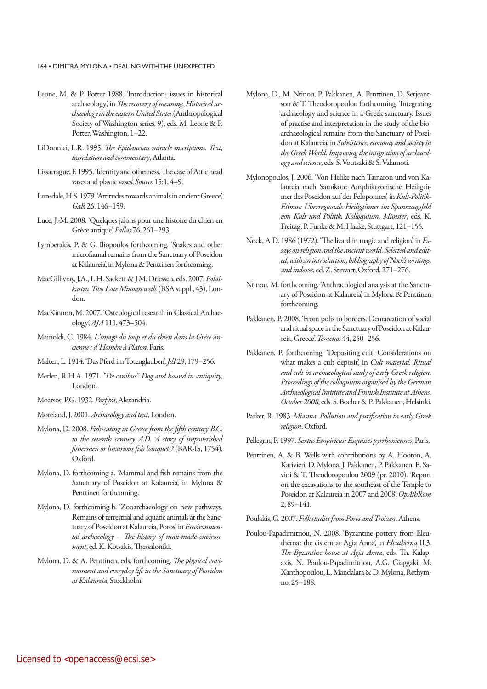- Leone, M. & P. Potter 1988. 'Introduction: issues in historical archaeology', in The recovery of meaning. Historical archaeology in the eastern United States (Anthropological Society of Washington series, 9), eds. M. Leone & P. Potter, Washington, 1-22.
- LiDonnici, L.R. 1995. The Epidaurian miracle inscriptions. Text, translation and commentary, Atlanta.
- Lissarrague, F. 1995. 'Identity and otherness. The case of Attic head vases and plastic vases', Source 15:1, 4–9.
- Lonsdale, H.S. 1979. 'Attitudes towards animals in ancient Greece', GaR 26, 146–159.
- Luce, J.-M. 2008. 'Quelques jalons pour une histoire du chien en Grèce antique', Pallas 76, 261–293.
- Lymberakis, P. & G. Iliopoulos forthcoming. 'Snakes and other microfaunal remains from the Sanctuary of Poseidon at Kalaureia', in Mylona & Penttinen forthcoming.
- MacGillivray, J.A., L H. Sackett & JM. Driessen, eds. 2007. Palaikastro. Two Late Minoan wells (BSA suppl , 43), London.
- MacKinnon, M. 2007. 'Osteological research in Classical Archaeology', AJA 111, 473–504.
- Mainoldi, C. 1984. L'image du loup et du chien dans la Gréce ancienne : d'Homère à Platon,Paris.
- Malten, L. 1914. 'Das Pferd im Totenglauben', JdI 29, 179–256.
- Merlen, R.H.A. 1971. "De canibus". Dog and hound in antiquity, London.
- Moatsos, P.G. 1932. Porfyra, Alexandria.
- Moreland, J. 2001. Archaeology and text, London.
- Mylona, D. 2008. Fish-eating in Greece from the fifth century B.C. to the seventh century A.D. A story of impoverished fishermen or luxurious fish banquets? (BAR-IS, 1754), Oxford.
- Mylona, D. forthcoming a. 'Mammal and fish remains from the Sanctuary of Poseidon at Kalaureia', in Mylona & Penttinen forthcoming.
- Mylona, D. forthcoming b. 'Zooarchaeology on new pathways. Remains of terrestrial and aquatic animals at the Sanctuary of Poseidon at Kalaureia, Poros, in Environmental archaeology – The history of man-made environment, ed. K. Kotsakis, Thessaloniki.
- Mylona, D. & A. Penttinen, eds. forthcoming. The physical environment and everyday life in the Sanctuary of Poseidon at Kalaureia, Stockholm.
- Mylona, D., M. Ntinou, P. Pakkanen, A. Penttinen, D. Serjeantson & T. Theodoropoulou forthcoming. 'Integrating archaeology and science in a Greek sanctuary. Issues of practise and interpretation in the study of the bioarchaeological remains from the Sanctuary of Poseidon at Kalaureia', in Subsistence, economy and society in the Greek World. Improving the integration of archaeology and science, eds. S. Voutsaki & S. Valamoti.
- Mylonopoulos, J. 2006. 'Von Helike nach Tainaron und von Kalaureia nach Samikon: Amphiktyonische Heiligtümer des Poseidon auf der Peloponnes', in Kult-Politik-Ethnos: Überregionale Heiligtümer im Spannungsfeld von Kult und Politik. Kolloquium, Münster, eds. K. Freitag, P. Funke & M. Haake, Stuttgart, 121–155.
- Nock, A D. 1986 (1972). 'The lizard in magic and religion', in Essays on religion and the ancient world. Selected and edited, with an introduction, bibliography of Nock's writings, and indexes, ed. Z. Stewart, Oxford, 271–276.
- Ntinou, M. forthcoming. 'Anthracological analysis at the Sanctuary of Poseidon at Kalaureia', in Mylona & Penttinen forthcoming.
- Pakkanen, P. 2008. 'From polis to borders. Demarcation of social and ritual space in the Sanctuary of Poseidon at Kalaureia, Greece', Temenos 44, 250-256.
- Pakkanen, P. forthcoming. 'Depositing cult. Considerations on what makes a cult deposit', in Cult material. Ritual and cult in archaeological study of early Greek religion. Proceedings of the colloquium organised by the German Archaeological Institute and Finnish Institute at Athens, October 2008, eds. S. Bocher & P. Pakkanen, Helsinki.
- Parker, R. 1983. Miasma. Pollution and purification in early Greek religion, Oxford.
- Pellegrin, P. 1997. Sextus Empiricus: Esquisses pyrrhoniennes, Paris.
- Penttinen, A. & B. Wells with contributions by A. Hooton, A. Karivieri, D. Mylona, J. Pakkanen, P. Pakkanen, E. Savini & T. Theodoropoulou 2009 (pr. 2010). 'Report on the excavations to the southeast of the Temple to Poseidon at Kalaureia in 2007 and 2008', OpAthRom 2, 89–141.
- Poulakis, G. 2007. Folk studies from Poros and Troizen, Athens.
- Poulou-Papadimitriou, N. 2008. 'Byzantine pottery from Eleutherna: the cistern at Agia Anna', in Eleutherna II.3. The Byzantine house at Agia Anna, eds. Th. Kalapaxis, N. Poulou-Papadimitriou, A.G. Giaggaki, M. Xanthopoulou, L. Mandalara & D. Mylona, Rethymno, 25–188.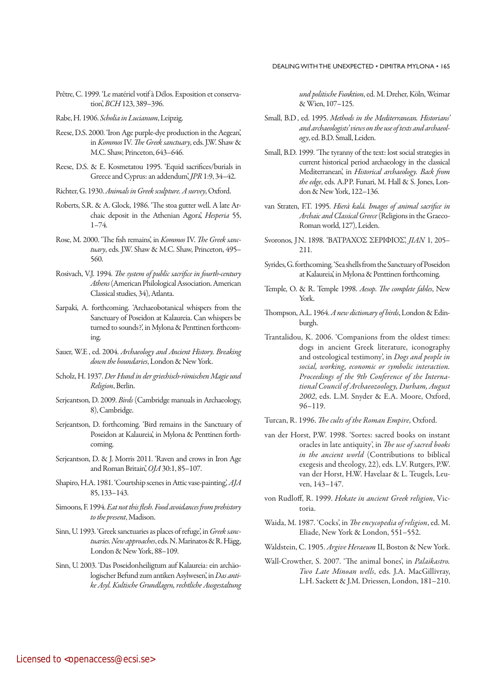- Prêtre, C. 1999. 'Le matériel votif à Délos. Exposition et conservation', BCH 123, 389–396.
- Rabe, H. 1906. Scholia in Lucianum, Leipzig.
- Reese, D.S. 2000. 'Iron Age purple-dye production in the Aegean', in Kommos IV. The Greek sanctuary, eds. J.W. Shaw & M.C. Shaw, Princeton, 643–646.
- Reese, D.S. & E. Kosmetatou 1995. 'Equid sacrifices/burials in Greece and Cyprus: an addendum', JPR 1:9, 34–42.
- Richter, G. 1930. Animals in Greek sculpture. A survey, Oxford.
- Roberts, S.R. & A. Glock, 1986. 'The stoa gutter well. A late Archaic deposit in the Athenian Agora', Hesperia 55, 1–74.
- Rose, M. 2000. 'The fish remains', in Kommos IV. The Greek sanctuary, eds. J.W. Shaw & M.C. Shaw, Princeton, 495-560.
- Rosivach, V.J. 1994. The system of public sacrifice in fourth-century Athens (American Philological Association. American Classical studies, 34), Atlanta.
- Sarpaki, A. forthcoming. 'Archaeobotanical whispers from the Sanctuary of Poseidon at Kalaureia. Can whispers be turned to sounds?', in Mylona & Penttinen forthcoming.
- Sauer, W.E., ed. 2004. Archaeology and Ancient History. Breaking down the boundaries, London & New York.
- Scholz, H. 1937. Der Hund in der griechisch-römischen Magie und Religion, Berlin.
- Serjeantson, D. 2009. Birds (Cambridge manuals in Archaeology, 8), Cambridge.
- Serjeantson, D. forthcoming. 'Bird remains in the Sanctuary of Poseidon at Kalaureia', in Mylona & Penttinen forthcoming.
- Serjeantson, D. & J. Morris 2011. 'Raven and crows in Iron Age and Roman Britain', OJA 30:1, 85–107.
- Shapiro, H.A. 1981. 'Courtship scenes in Attic vase-painting', AJA 85, 133–143.
- Simoons, F. 1994. Eat not this flesh. Food avoidances from prehistory to the present, Madison.
- Sinn, U. 1993. 'Greek sanctuaries as places of refuge', in Greek sanctuaries. New approaches, eds. N. Marinatos & R. Hägg, London & New York, 88–109.
- Sinn, U. 2003. 'Das Poseidonheiligtum auf Kalaureia: ein archäologischer Befund zum antiken Asylwesen', in Das antike Asyl. KultischeGrundlagen, rechtliche Ausgestaltung

und politische Funktion, ed. M. Dreher, Köln, Weimar & Wien, 107–125.

- Small, B.D , ed. 1995. Methods in the Mediterranean. Historians' and archaeologists' views on the use of texts and archaeology, ed. B.D. Small, Leiden.
- Small, B.D. 1999. 'The tyranny of the text: lost social strategies in current historical period archaeology in the classical Mediterranean', in Historical archaeology. Back from the edge, eds. A.PP. Funari, M. Hall & S. Jones, London & New York, 122–136.
- van Straten, F.T. 1995. Hierà kalá. Images of animal sacrifice in Archaic and Classical Greece (Religions in the Graeco-Roman world, 127), Leiden.
- Svoronos, JN. 1898. 'ΒΑΤΡΑΧΟΣ ΣΕΡΙΦΙΟΣ', JIAN 1, 205– 211.
- Syrides, G. forthcoming. 'Sea shells from the Sanctuary of Poseidon at Kalaureia', in Mylona & Penttinen forthcoming.
- Temple, O. & R. Temple 1998. Aesop. The complete fables, New York.
- Thompson, A.L. 1964. A new dictionary of birds, London & Edinburgh.
- Trantalidou, K. 2006. 'Companions from the oldest times: dogs in ancient Greek literature, iconography and osteological testimony', in Dogs and people in social, working, economic or symbolic interaction. Proceedings of the 9th Conference of the International Council of Archaeozoology, Durham, August 2002, eds. L.M. Snyder & E.A. Moore, Oxford, 96–119.
- Turcan, R. 1996. The cults of the Roman Empire, Oxford.
- van der Horst, P.W. 1998. 'Sortes: sacred books on instant oracles in late antiquity', in The use of sacred books in the ancient world (Contributions to biblical exegesis and theology, 22), eds. L.V. Rutgers, P.W. van der Horst, H.W. Havelaar & L. Teugels, Leuven, 143–147.
- von Rudloff, R. 1999. Hekate in ancient Greek religion, Victoria.
- Waida, M. 1987. 'Cocks', in The encycopedia of religion, ed. M. Eliade, New York & London, 551–552.
- Waldstein, C. 1905. Argive Heraeum II, Boston & New York.
- Wall-Crowther, S. 2007. 'The animal bones', in Palaikastro. Two Late Minoan wells, eds. J.A. MacGillivray, L.H. Sackett & J.M. Driessen, London, 181–210.